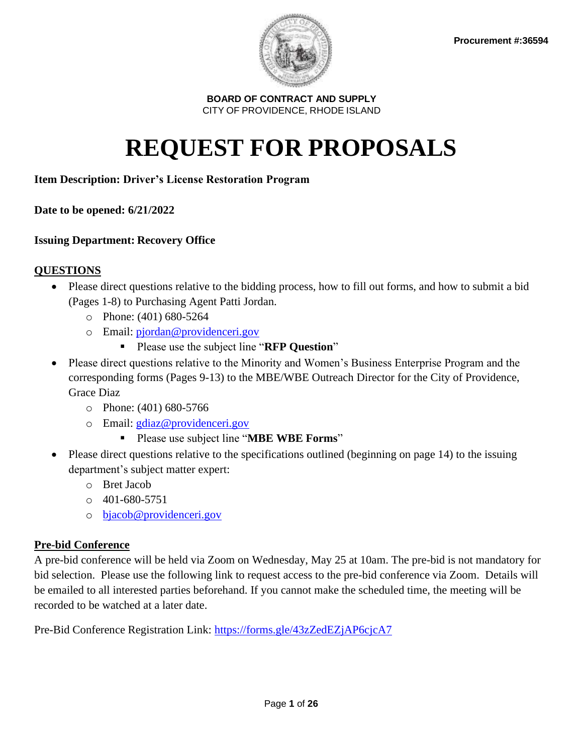

# **REQUEST FOR PROPOSALS**

## **Item Description: Driver's License Restoration Program**

**Date to be opened: 6/21/2022** 

## **Issuing Department: Recovery Office**

## **QUESTIONS**

- Please direct questions relative to the bidding process, how to fill out forms, and how to submit a bid (Pages 1-8) to Purchasing Agent Patti Jordan.
	- o Phone: (401) 680-5264
	- o Email: [pjordan@providenceri.gov](mailto:pjordan@providenceri.gov)
		- Please use the subject line "**RFP Question**"
- Please direct questions relative to the Minority and Women's Business Enterprise Program and the corresponding forms (Pages 9-13) to the MBE/WBE Outreach Director for the City of Providence, Grace Diaz
	- o Phone: (401) 680-5766
	- o Email: [gdiaz@providenceri.gov](mailto:gdiaz@providenceri.gov)
		- Please use subject line "**MBE WBE Forms**"
- Please direct questions relative to the specifications outlined (beginning on page 14) to the issuing department's subject matter expert:
	- o Bret Jacob
	- $\circ$  401-680-5751
	- o [bjacob@providenceri.gov](mailto:bjacob@providenceri.gov)

## **Pre-bid Conference**

A pre-bid conference will be held via Zoom on Wednesday, May 25 at 10am. The pre-bid is not mandatory for bid selection. Please use the following link to request access to the pre-bid conference via Zoom. Details will be emailed to all interested parties beforehand. If you cannot make the scheduled time, the meeting will be recorded to be watched at a later date.

Pre-Bid Conference Registration Link:<https://forms.gle/43zZedEZjAP6cjcA7>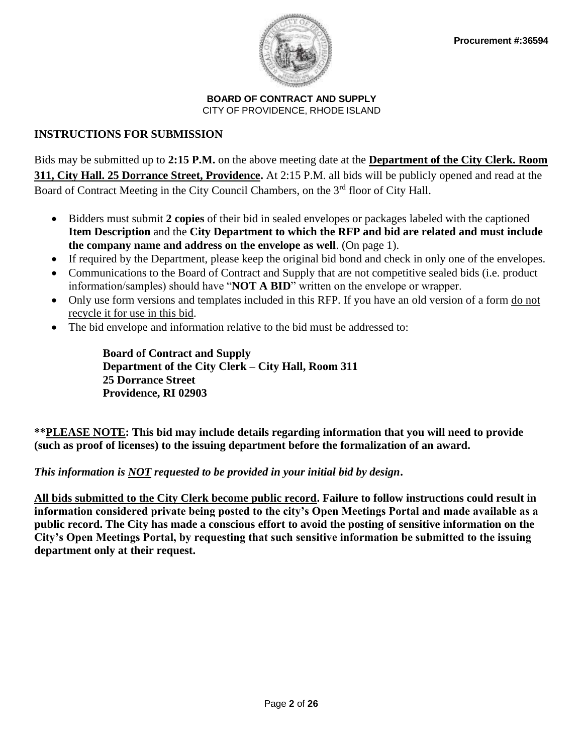

## **INSTRUCTIONS FOR SUBMISSION**

Bids may be submitted up to **2:15 P.M.** on the above meeting date at the **Department of the City Clerk. Room 311, City Hall. 25 Dorrance Street, Providence.** At 2:15 P.M. all bids will be publicly opened and read at the Board of Contract Meeting in the City Council Chambers, on the 3<sup>rd</sup> floor of City Hall.

- Bidders must submit **2 copies** of their bid in sealed envelopes or packages labeled with the captioned **Item Description** and the **City Department to which the RFP and bid are related and must include the company name and address on the envelope as well**. (On page 1).
- If required by the Department, please keep the original bid bond and check in only one of the envelopes.
- Communications to the Board of Contract and Supply that are not competitive sealed bids (i.e. product information/samples) should have "**NOT A BID**" written on the envelope or wrapper.
- Only use form versions and templates included in this RFP. If you have an old version of a form do not recycle it for use in this bid.
- The bid envelope and information relative to the bid must be addressed to:

**Board of Contract and Supply Department of the City Clerk – City Hall, Room 311 25 Dorrance Street Providence, RI 02903**

**\*\*PLEASE NOTE: This bid may include details regarding information that you will need to provide (such as proof of licenses) to the issuing department before the formalization of an award.** 

## *This information is NOT requested to be provided in your initial bid by design***.**

**All bids submitted to the City Clerk become public record. Failure to follow instructions could result in information considered private being posted to the city's Open Meetings Portal and made available as a public record. The City has made a conscious effort to avoid the posting of sensitive information on the City's Open Meetings Portal, by requesting that such sensitive information be submitted to the issuing department only at their request.**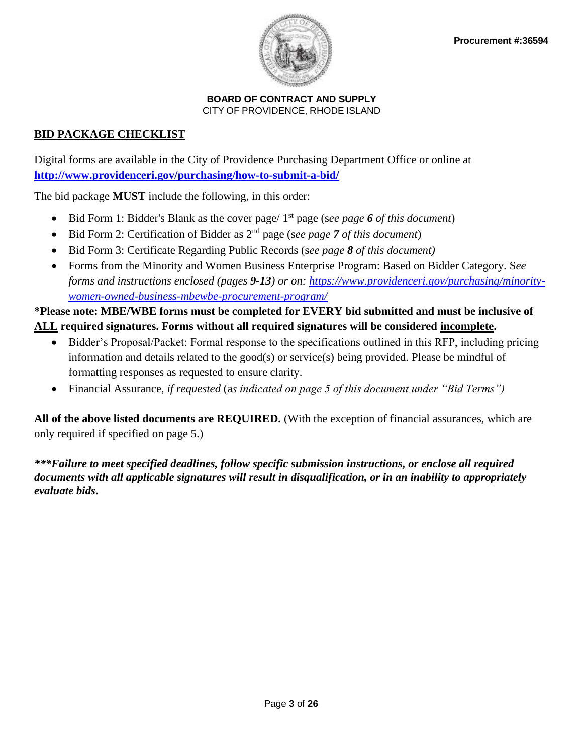

## **BID PACKAGE CHECKLIST**

Digital forms are available in the City of Providence Purchasing Department Office or online at **<http://www.providenceri.gov/purchasing/how-to-submit-a-bid/>**

The bid package **MUST** include the following, in this order:

- Bid Form 1: Bidder's Blank as the cover page/ 1st page (s*ee page 6 of this document*)
- Bid Form 2: Certification of Bidder as 2nd page (s*ee page 7 of this document*)
- Bid Form 3: Certificate Regarding Public Records (s*ee page 8 of this document)*
- Forms from the Minority and Women Business Enterprise Program: Based on Bidder Category. S*ee forms and instructions enclosed (pages 9-13) or on: [https://www.providenceri.gov/purchasing/minority](https://www.providenceri.gov/purchasing/minority-women-owned-business-mbewbe-procurement-program/)[women-owned-business-mbewbe-procurement-program/](https://www.providenceri.gov/purchasing/minority-women-owned-business-mbewbe-procurement-program/)*

## **\*Please note: MBE/WBE forms must be completed for EVERY bid submitted and must be inclusive of ALL required signatures. Forms without all required signatures will be considered incomplete.**

- Bidder's Proposal/Packet: Formal response to the specifications outlined in this RFP, including pricing information and details related to the good(s) or service(s) being provided. Please be mindful of formatting responses as requested to ensure clarity.
- Financial Assurance, *if requested* (a*s indicated on page 5 of this document under "Bid Terms")*

**All of the above listed documents are REQUIRED.** (With the exception of financial assurances, which are only required if specified on page 5.)

*\*\*\*Failure to meet specified deadlines, follow specific submission instructions, or enclose all required documents with all applicable signatures will result in disqualification, or in an inability to appropriately evaluate bids***.**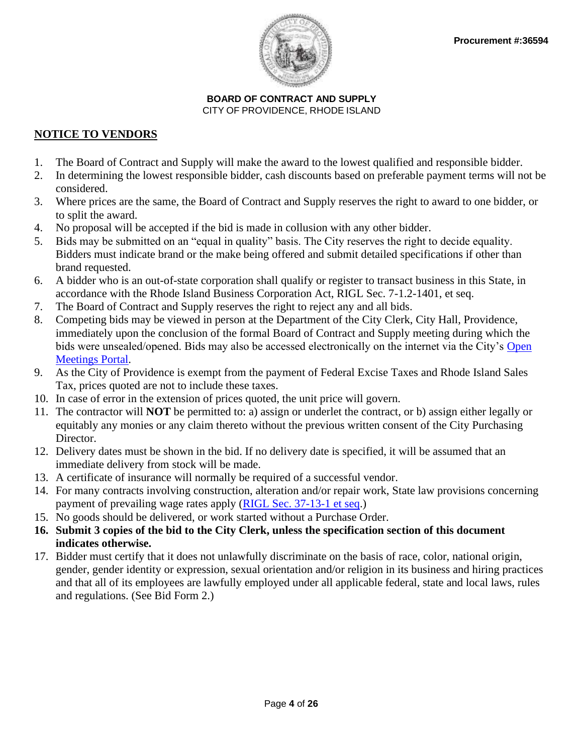

## **NOTICE TO VENDORS**

- 1. The Board of Contract and Supply will make the award to the lowest qualified and responsible bidder.
- 2. In determining the lowest responsible bidder, cash discounts based on preferable payment terms will not be considered.
- 3. Where prices are the same, the Board of Contract and Supply reserves the right to award to one bidder, or to split the award.
- 4. No proposal will be accepted if the bid is made in collusion with any other bidder.
- 5. Bids may be submitted on an "equal in quality" basis. The City reserves the right to decide equality. Bidders must indicate brand or the make being offered and submit detailed specifications if other than brand requested.
- 6. A bidder who is an out-of-state corporation shall qualify or register to transact business in this State, in accordance with the Rhode Island Business Corporation Act, RIGL Sec. 7-1.2-1401, et seq.
- 7. The Board of Contract and Supply reserves the right to reject any and all bids.
- 8. Competing bids may be viewed in person at the Department of the City Clerk, City Hall, Providence, immediately upon the conclusion of the formal Board of Contract and Supply meeting during which the bids were unsealed/opened. Bids may also be accessed electronically on the internet via the City's [Open](http://providenceri.iqm2.com/Citizens/Default.aspx)  [Meetings Portal.](http://providenceri.iqm2.com/Citizens/Default.aspx)
- 9. As the City of Providence is exempt from the payment of Federal Excise Taxes and Rhode Island Sales Tax, prices quoted are not to include these taxes.
- 10. In case of error in the extension of prices quoted, the unit price will govern.
- 11. The contractor will **NOT** be permitted to: a) assign or underlet the contract, or b) assign either legally or equitably any monies or any claim thereto without the previous written consent of the City Purchasing Director.
- 12. Delivery dates must be shown in the bid. If no delivery date is specified, it will be assumed that an immediate delivery from stock will be made.
- 13. A certificate of insurance will normally be required of a successful vendor.
- 14. For many contracts involving construction, alteration and/or repair work, State law provisions concerning payment of prevailing wage rates apply [\(RIGL Sec. 37-13-1 et seq.](http://webserver.rilin.state.ri.us/Statutes/TITLE37/37-13/INDEX.HTM))
- 15. No goods should be delivered, or work started without a Purchase Order.
- **16. Submit 3 copies of the bid to the City Clerk, unless the specification section of this document indicates otherwise.**
- 17. Bidder must certify that it does not unlawfully discriminate on the basis of race, color, national origin, gender, gender identity or expression, sexual orientation and/or religion in its business and hiring practices and that all of its employees are lawfully employed under all applicable federal, state and local laws, rules and regulations. (See Bid Form 2.)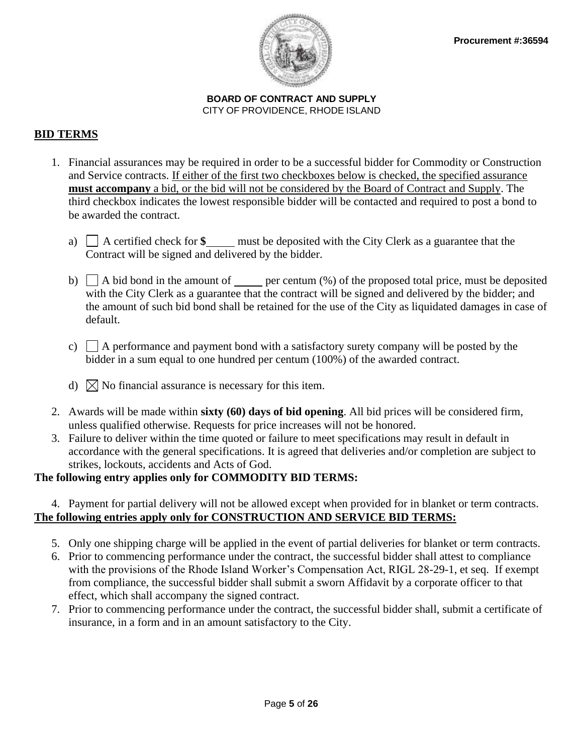

## **BID TERMS**

- 1. Financial assurances may be required in order to be a successful bidder for Commodity or Construction and Service contracts. If either of the first two checkboxes below is checked, the specified assurance **must accompany** a bid, or the bid will not be considered by the Board of Contract and Supply. The third checkbox indicates the lowest responsible bidder will be contacted and required to post a bond to be awarded the contract.
	- a) A certified check for **\$** must be deposited with the City Clerk as a guarantee that the Contract will be signed and delivered by the bidder.
	- b)  $\Box$  A bid bond in the amount of <u>per centum (%)</u> of the proposed total price, must be deposited with the City Clerk as a guarantee that the contract will be signed and delivered by the bidder; and the amount of such bid bond shall be retained for the use of the City as liquidated damages in case of default.
	- c)  $\Box$  A performance and payment bond with a satisfactory surety company will be posted by the bidder in a sum equal to one hundred per centum (100%) of the awarded contract.
	- d)  $\boxtimes$  No financial assurance is necessary for this item.
- 2. Awards will be made within **sixty (60) days of bid opening**. All bid prices will be considered firm, unless qualified otherwise. Requests for price increases will not be honored.
- 3. Failure to deliver within the time quoted or failure to meet specifications may result in default in accordance with the general specifications. It is agreed that deliveries and/or completion are subject to strikes, lockouts, accidents and Acts of God.

## **The following entry applies only for COMMODITY BID TERMS:**

### 4. Payment for partial delivery will not be allowed except when provided for in blanket or term contracts. **The following entries apply only for CONSTRUCTION AND SERVICE BID TERMS:**

- 5. Only one shipping charge will be applied in the event of partial deliveries for blanket or term contracts.
- 6. Prior to commencing performance under the contract, the successful bidder shall attest to compliance with the provisions of the Rhode Island Worker's Compensation Act, RIGL 28-29-1, et seq. If exempt from compliance, the successful bidder shall submit a sworn Affidavit by a corporate officer to that effect, which shall accompany the signed contract.
- 7. Prior to commencing performance under the contract, the successful bidder shall, submit a certificate of insurance, in a form and in an amount satisfactory to the City.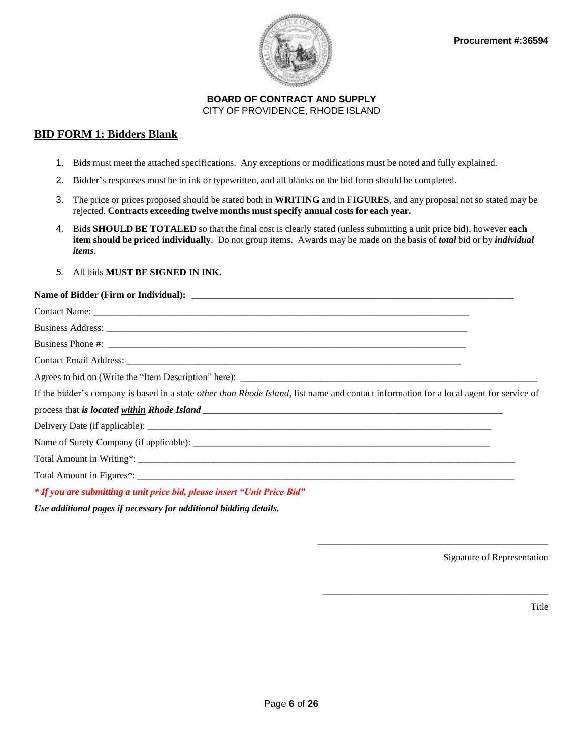

#### **BID FORM 1: Bidders Blank**

- 1. Bids must meet the attached specifications. Any exceptions or modifications must be noted and fully explained.
- 2. Bidder's responses must be in ink or typewritten, and all blanks on the bid form should be completed.
- 3. The price or prices proposed should be stated both in **WRITING** and in **FIGURES**, and any proposal not so stated may be rejected. **Contracts exceeding twelve months must specify annual costs for each year.**
- 4. Bids **SHOULD BE TOTALED** so that the final cost is clearly stated (unless submitting a unit price bid), however **each item should be priced individually**. Do not group items. Awards may be made on the basis of *total* bid or by *individual items*.
- *5.* All bids **MUST BE SIGNED IN INK.**

#### Name of Bidder (Firm or Individual):

| If the bidder's company is based in a state other than Rhode Island, list name and contact information for a local agent for service of                                                                                                       |  |
|-----------------------------------------------------------------------------------------------------------------------------------------------------------------------------------------------------------------------------------------------|--|
|                                                                                                                                                                                                                                               |  |
|                                                                                                                                                                                                                                               |  |
|                                                                                                                                                                                                                                               |  |
|                                                                                                                                                                                                                                               |  |
|                                                                                                                                                                                                                                               |  |
| * If you are submitting a unit price bid, please insert "Unit Price Bid"                                                                                                                                                                      |  |
| $\bm{r}$ , and $\bm{r}$ , and $\bm{r}$ , and $\bm{r}$ , and $\bm{r}$ , and $\bm{r}$ , and $\bm{r}$ , and $\bm{r}$ , and $\bm{r}$ , and $\bm{r}$ , and $\bm{r}$ , and $\bm{r}$ , and $\bm{r}$ , and $\bm{r}$ , and $\bm{r}$ , and $\bm{r}$ , a |  |

*Use additional pages if necessary for additional bidding details.* 

Signature of Representation

\_\_\_\_\_\_\_\_\_\_\_\_\_\_\_\_\_\_\_\_\_\_\_\_\_\_\_\_\_\_\_\_\_\_\_\_\_\_\_\_\_\_\_\_\_\_\_\_\_

\_\_\_\_\_\_\_\_\_\_\_\_\_\_\_\_\_\_\_\_\_\_\_\_\_\_\_\_\_\_\_\_\_\_\_\_\_\_\_\_\_\_\_\_\_\_\_\_

Title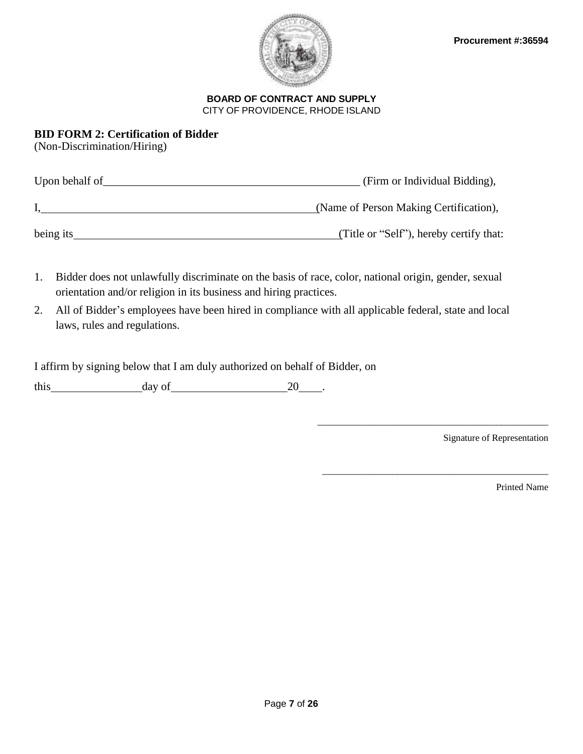

## **BID FORM 2: Certification of Bidder**

(Non-Discrimination/Hiring)

| Upon behalf of | (Firm or Individual Bidding),           |
|----------------|-----------------------------------------|
|                | (Name of Person Making Certification),  |
| being its      | (Title or "Self"), hereby certify that: |

- 1. Bidder does not unlawfully discriminate on the basis of race, color, national origin, gender, sexual orientation and/or religion in its business and hiring practices.
- 2. All of Bidder's employees have been hired in compliance with all applicable federal, state and local laws, rules and regulations.

I affirm by signing below that I am duly authorized on behalf of Bidder, on

this day of 20 .

Signature of Representation

\_\_\_\_\_\_\_\_\_\_\_\_\_\_\_\_\_\_\_\_\_\_\_\_\_\_\_\_\_\_\_\_\_\_\_\_\_\_\_\_\_\_\_\_\_\_\_\_\_

\_\_\_\_\_\_\_\_\_\_\_\_\_\_\_\_\_\_\_\_\_\_\_\_\_\_\_\_\_\_\_\_\_\_\_\_\_\_\_\_\_\_\_\_\_\_\_\_

Printed Name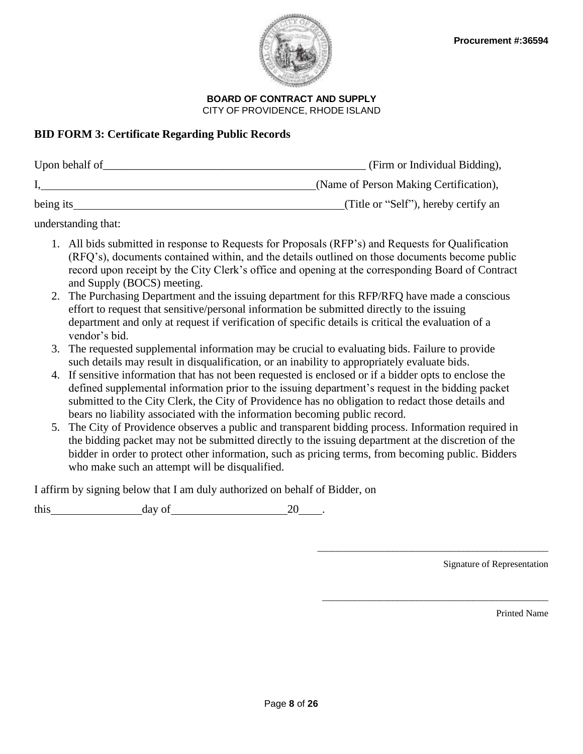

## **BID FORM 3: Certificate Regarding Public Records**

| Upon behalf of | (Firm or Individual Bidding),          |
|----------------|----------------------------------------|
|                | (Name of Person Making Certification), |
| being its      | (Title or "Self"), hereby certify an   |

understanding that:

- 1. All bids submitted in response to Requests for Proposals (RFP's) and Requests for Qualification (RFQ's), documents contained within, and the details outlined on those documents become public record upon receipt by the City Clerk's office and opening at the corresponding Board of Contract and Supply (BOCS) meeting.
- 2. The Purchasing Department and the issuing department for this RFP/RFQ have made a conscious effort to request that sensitive/personal information be submitted directly to the issuing department and only at request if verification of specific details is critical the evaluation of a vendor's bid.
- 3. The requested supplemental information may be crucial to evaluating bids. Failure to provide such details may result in disqualification, or an inability to appropriately evaluate bids.
- 4. If sensitive information that has not been requested is enclosed or if a bidder opts to enclose the defined supplemental information prior to the issuing department's request in the bidding packet submitted to the City Clerk, the City of Providence has no obligation to redact those details and bears no liability associated with the information becoming public record.
- 5. The City of Providence observes a public and transparent bidding process. Information required in the bidding packet may not be submitted directly to the issuing department at the discretion of the bidder in order to protect other information, such as pricing terms, from becoming public. Bidders who make such an attempt will be disqualified.

I affirm by signing below that I am duly authorized on behalf of Bidder, on

this day of 20 .

Signature of Representation

\_\_\_\_\_\_\_\_\_\_\_\_\_\_\_\_\_\_\_\_\_\_\_\_\_\_\_\_\_\_\_\_\_\_\_\_\_\_\_\_\_\_\_\_\_\_\_\_\_

\_\_\_\_\_\_\_\_\_\_\_\_\_\_\_\_\_\_\_\_\_\_\_\_\_\_\_\_\_\_\_\_\_\_\_\_\_\_\_\_\_\_\_\_\_\_\_\_

Printed Name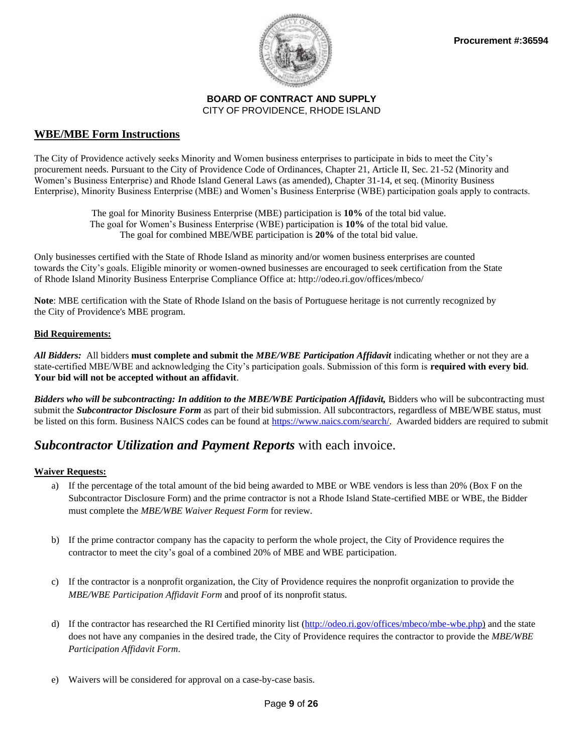

#### **WBE/MBE Form Instructions**

The City of Providence actively seeks Minority and Women business enterprises to participate in bids to meet the City's procurement needs. Pursuant to the City of Providence Code of Ordinances, Chapter 21, Article II, Sec. 21-52 (Minority and Women's Business Enterprise) and Rhode Island General Laws (as amended), Chapter 31-14, et seq. (Minority Business Enterprise), Minority Business Enterprise (MBE) and Women's Business Enterprise (WBE) participation goals apply to contracts.

> The goal for Minority Business Enterprise (MBE) participation is **10%** of the total bid value. The goal for Women's Business Enterprise (WBE) participation is **10%** of the total bid value. The goal for combined MBE/WBE participation is **20%** of the total bid value.

Only businesses certified with the State of Rhode Island as minority and/or women business enterprises are counted towards the City's goals. Eligible minority or women-owned businesses are encouraged to seek certification from the State of Rhode Island Minority Business Enterprise Compliance Office at: http://odeo.ri.gov/offices/mbeco/

**Note**: MBE certification with the State of Rhode Island on the basis of Portuguese heritage is not currently recognized by the City of Providence's MBE program.

#### **Bid Requirements:**

*All Bidders:* All bidders **must complete and submit the** *MBE/WBE Participation Affidavit* indicating whether or not they are a state-certified MBE/WBE and acknowledging the City's participation goals. Submission of this form is **required with every bid**. **Your bid will not be accepted without an affidavit**.

**Bidders who will be subcontracting: In addition to the MBE/WBE Participation Affidavit, Bidders who will be subcontracting must** submit the *Subcontractor Disclosure Form* as part of their bid submission. All subcontractors, regardless of MBE/WBE status, must be listed on this form. Business NAICS codes can be found at [https://www.naics.com/search/.](https://www.naics.com/search/) Awarded bidders are required to submit

## *Subcontractor Utilization and Payment Reports* with each invoice.

#### **Waiver Requests:**

- a) If the percentage of the total amount of the bid being awarded to MBE or WBE vendors is less than 20% (Box F on the Subcontractor Disclosure Form) and the prime contractor is not a Rhode Island State-certified MBE or WBE, the Bidder must complete the *MBE/WBE Waiver Request Form* for review.
- b) If the prime contractor company has the capacity to perform the whole project, the City of Providence requires the contractor to meet the city's goal of a combined 20% of MBE and WBE participation.
- c) If the contractor is a nonprofit organization, the City of Providence requires the nonprofit organization to provide the *MBE/WBE Participation Affidavit Form* and proof of its nonprofit status.
- d) If the contractor has researched the RI Certified minority list [\(http://odeo.ri.gov/offices/mbeco/mbe-wbe.php\)](http://odeo.ri.gov/offices/mbeco/mbe-wbe.php) and the state does not have any companies in the desired trade, the City of Providence requires the contractor to provide the *MBE/WBE Participation Affidavit Form*.
- e) Waivers will be considered for approval on a case-by-case basis.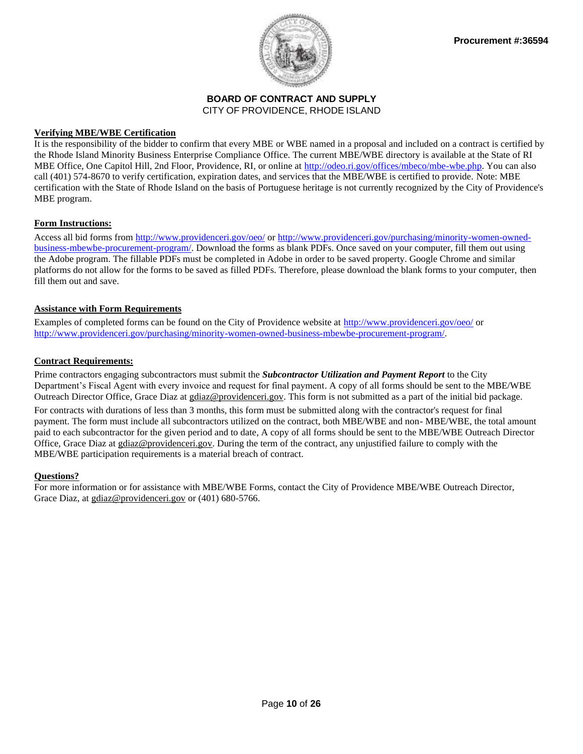

#### **Verifying MBE/WBE Certification**

It is the responsibility of the bidder to confirm that every MBE or WBE named in a proposal and included on a contract is certified by the Rhode Island Minority Business Enterprise Compliance Office. The current MBE/WBE directory is available at the State of RI MBE Office, One Capitol Hill, 2nd Floor, Providence, RI, or online at [http://odeo.ri.gov/offices/mbeco/mbe-wbe.php.](http://odeo.ri.gov/offices/mbeco/mbe-wbe.php) You can also call (401) 574-8670 to verify certification, expiration dates, and services that the MBE/WBE is certified to provide. Note: MBE certification with the State of Rhode Island on the basis of Portuguese heritage is not currently recognized by the City of Providence's MBE program.

#### **Form Instructions:**

Access all bid forms from<http://www.providenceri.gov/oeo/> or [http://www.providenceri.gov/purchasing/minority-women-owned](http://www.providenceri.gov/purchasing/minority-women-owned-business-mbewbe-procurement-program/)[business-mbewbe-procurement-program/.](http://www.providenceri.gov/purchasing/minority-women-owned-business-mbewbe-procurement-program/) Download the forms as blank PDFs. Once saved on your computer, fill them out using the Adobe program. The fillable PDFs must be completed in Adobe in order to be saved property. Google Chrome and similar platforms do not allow for the forms to be saved as filled PDFs. Therefore, please download the blank forms to your computer, then fill them out and save.

#### **Assistance with Form Requirements**

Examples of completed forms can be found on the City of Providence website at<http://www.providenceri.gov/oeo/> or [http://www.providenceri.gov/purchasing/minority-women-owned-business-mbewbe-procurement-program/.](http://www.providenceri.gov/purchasing/minority-women-owned-business-mbewbe-procurement-program/)

#### **Contract Requirements:**

Prime contractors engaging subcontractors must submit the *Subcontractor Utilization and Payment Report* to the City Department's Fiscal Agent with every invoice and request for final payment. A copy of all forms should be sent to the MBE/WBE Outreach Director Office, Grace Diaz at gdiaz@providenceri.gov. This form is not submitted as a part of the initial bid package. For contracts with durations of less than 3 months, this form must be submitted along with the contractor's request for final payment. The form must include all subcontractors utilized on the contract, both MBE/WBE and non- MBE/WBE, the total amount paid to each subcontractor for the given period and to date, A copy of all forms should be sent to the MBE/WBE Outreach Director Office, Grace Diaz at gdiaz@providenceri.gov. During the term of the contract, any unjustified failure to comply with the MBE/WBE participation requirements is a material breach of contract.

#### **Questions?**

For more information or for assistance with MBE/WBE Forms, contact the City of Providence MBE/WBE Outreach Director, Grace Diaz, at [gdiaz@providenceri.gov](mailto:mbe-wbe@providenceri.com) or (401) 680-5766.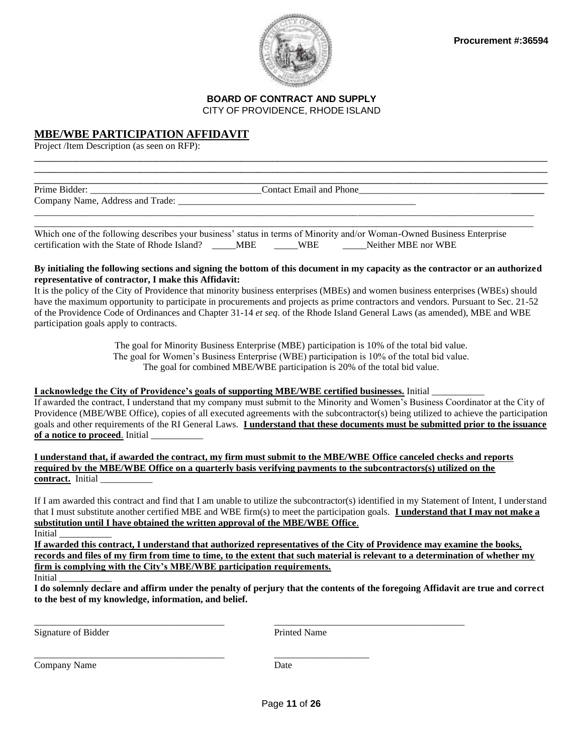

### **MBE/WBE PARTICIPATION AFFIDAVIT**

Project /Item Description (as seen on RFP):

| Prime Bidder:                    | <b>Contact Email and Phone</b> |  |
|----------------------------------|--------------------------------|--|
| Company Name, Address and Trade: |                                |  |
|                                  |                                |  |

\_\_\_\_\_\_\_\_\_\_\_\_\_\_\_\_\_\_\_\_\_\_\_\_\_\_\_\_\_\_\_\_\_\_\_\_\_\_\_\_\_\_\_\_\_\_\_\_\_\_\_\_\_\_\_\_\_\_\_\_\_\_\_\_\_\_\_\_\_\_\_\_\_\_\_\_\_\_\_\_\_\_\_\_\_\_\_\_\_\_\_\_\_\_\_\_\_  $\Box$ 

Which one of the following describes your business' status in terms of Minority and/or Woman-Owned Business Enterprise certification with the State of Rhode Island? \_\_\_\_\_MBE \_\_\_\_\_WBE \_\_\_\_\_Neither MBE nor WBE

#### **By initialing the following sections and signing the bottom of this document in my capacity as the contractor or an authorized representative of contractor, I make this Affidavit:**

It is the policy of the City of Providence that minority business enterprises (MBEs) and women business enterprises (WBEs) should have the maximum opportunity to participate in procurements and projects as prime contractors and vendors. Pursuant to Sec. 21-52 of the Providence Code of Ordinances and Chapter 31-14 *et seq*. of the Rhode Island General Laws (as amended), MBE and WBE participation goals apply to contracts.

> The goal for Minority Business Enterprise (MBE) participation is 10% of the total bid value. The goal for Women's Business Enterprise (WBE) participation is 10% of the total bid value. The goal for combined MBE/WBE participation is 20% of the total bid value.

#### **I acknowledge the City of Providence's goals of supporting MBE/WBE certified businesses.** Initial \_\_\_\_\_\_\_\_\_\_\_

If awarded the contract, I understand that my company must submit to the Minority and Women's Business Coordinator at the City of Providence (MBE/WBE Office), copies of all executed agreements with the subcontractor(s) being utilized to achieve the participation goals and other requirements of the RI General Laws. **I understand that these documents must be submitted prior to the issuance**  of a notice to proceed. Initial

**I understand that, if awarded the contract, my firm must submit to the MBE/WBE Office canceled checks and reports required by the MBE/WBE Office on a quarterly basis verifying payments to the subcontractors(s) utilized on the contract.** Initial \_\_\_\_\_\_\_\_\_\_\_

If I am awarded this contract and find that I am unable to utilize the subcontractor(s) identified in my Statement of Intent, I understand that I must substitute another certified MBE and WBE firm(s) to meet the participation goals. **I understand that I may not make a substitution until I have obtained the written approval of the MBE/WBE Office**. Initial \_\_\_\_\_\_\_\_\_\_\_

**If awarded this contract, I understand that authorized representatives of the City of Providence may examine the books, records and files of my firm from time to time, to the extent that such material is relevant to a determination of whether my firm is complying with the City's MBE/WBE participation requirements.** 

Initial \_\_\_\_\_\_\_\_\_\_\_

**I do solemnly declare and affirm under the penalty of perjury that the contents of the foregoing Affidavit are true and correct to the best of my knowledge, information, and belief.**

Signature of Bidder **Printed Name** 

Company Name Date

\_\_\_\_\_\_\_\_\_\_\_\_\_\_\_\_\_\_\_\_\_\_\_\_\_\_\_\_\_\_\_\_\_\_\_\_\_\_\_\_ \_\_\_\_\_\_\_\_\_\_\_\_\_\_\_\_\_\_\_\_\_\_\_\_\_\_\_\_\_\_\_\_\_\_\_\_\_\_\_\_

\_\_\_\_\_\_\_\_\_\_\_\_\_\_\_\_\_\_\_\_\_\_\_\_\_\_\_\_\_\_\_\_\_\_\_\_\_\_\_\_ \_\_\_\_\_\_\_\_\_\_\_\_\_\_\_\_\_\_\_\_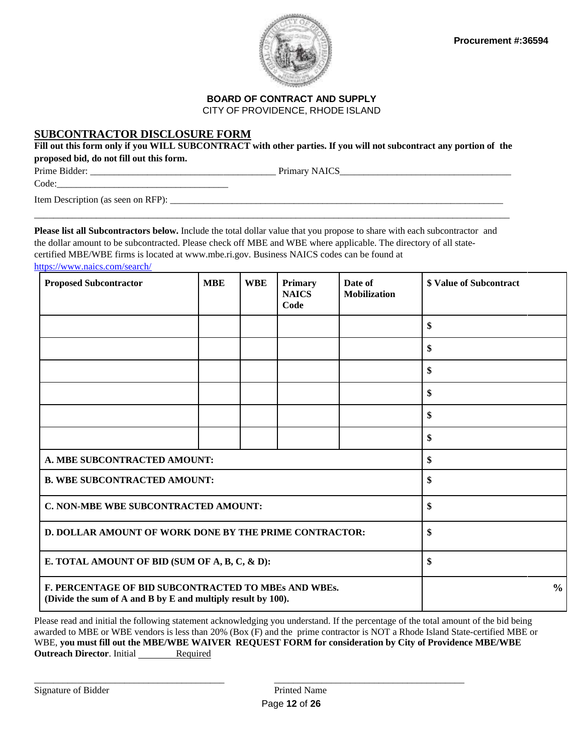

## **BOARD OF CONTRACT AND SUPPLY**

CITY OF PROVIDENCE, RHODE ISLAND

#### **SUBCONTRACTOR DISCLOSURE FORM**

Fill out this form only if you WILL SUBCONTRACT with other parties. If you will not subcontract any portion of the **proposed bid, do not fill out this form.**

Prime Bidder: \_\_\_\_\_\_\_\_\_\_\_\_\_\_\_\_\_\_\_\_\_\_\_\_\_\_\_\_\_\_\_\_\_\_\_\_\_\_\_ Primary NAICS\_\_\_\_\_\_\_\_\_\_\_\_\_\_\_\_\_\_\_\_\_\_\_\_\_\_\_\_\_\_\_\_\_\_\_\_

Code:\_\_\_\_\_\_\_\_\_\_\_\_\_\_\_\_\_\_\_\_\_\_\_\_\_\_\_\_\_\_\_\_\_\_\_\_

Item Description (as seen on RFP): \_\_\_\_\_\_\_\_\_\_\_\_\_\_\_\_\_\_\_\_\_\_\_\_\_\_\_\_\_\_\_\_\_\_\_\_\_\_\_\_\_\_\_\_\_\_\_\_\_\_\_\_\_\_\_\_\_\_\_\_\_\_\_\_\_\_\_\_\_\_

**Please list all Subcontractors below.** Include the total dollar value that you propose to share with each subcontractor and the dollar amount to be subcontracted. Please check off MBE and WBE where applicable. The directory of all statecertified MBE/WBE firms is located at [www.mbe.ri.gov.](http://www.mbe.ri.gov/) Business NAICS codes can be found at

\_\_\_\_\_\_\_\_\_\_\_\_\_\_\_\_\_\_\_\_\_\_\_\_\_\_\_\_\_\_\_\_\_\_\_\_\_\_\_\_\_\_\_\_\_\_\_\_\_\_\_\_\_\_\_\_\_\_\_\_\_\_\_\_\_\_\_\_\_\_\_\_\_\_\_\_\_\_\_\_\_\_\_\_\_\_\_\_\_\_\_\_\_\_\_\_\_\_\_\_

<https://www.naics.com/search/>

| <b>Proposed Subcontractor</b>                                                                                        | <b>MBE</b> | <b>WBE</b> | Primary<br><b>NAICS</b><br>Code | Date of<br><b>Mobilization</b> | <b>\$ Value of Subcontract</b> |               |
|----------------------------------------------------------------------------------------------------------------------|------------|------------|---------------------------------|--------------------------------|--------------------------------|---------------|
|                                                                                                                      |            |            |                                 |                                | \$                             |               |
|                                                                                                                      |            |            |                                 |                                | \$                             |               |
|                                                                                                                      |            |            |                                 |                                | \$                             |               |
|                                                                                                                      |            |            |                                 |                                | \$                             |               |
|                                                                                                                      |            |            |                                 |                                | \$                             |               |
|                                                                                                                      |            |            |                                 |                                | \$                             |               |
| A. MBE SUBCONTRACTED AMOUNT:                                                                                         |            |            |                                 |                                | \$                             |               |
| <b>B. WBE SUBCONTRACTED AMOUNT:</b>                                                                                  |            |            |                                 |                                | \$                             |               |
| C. NON-MBE WBE SUBCONTRACTED AMOUNT:                                                                                 |            |            |                                 |                                | \$                             |               |
| D. DOLLAR AMOUNT OF WORK DONE BY THE PRIME CONTRACTOR:                                                               |            |            |                                 |                                | \$                             |               |
| E. TOTAL AMOUNT OF BID (SUM OF A, B, C, & D):                                                                        |            |            |                                 |                                | \$                             |               |
| F. PERCENTAGE OF BID SUBCONTRACTED TO MBES AND WBES.<br>(Divide the sum of A and B by E and multiply result by 100). |            |            |                                 |                                |                                | $\frac{0}{0}$ |

Please read and initial the following statement acknowledging you understand. If the percentage of the total amount of the bid being awarded to MBE or WBE vendors is less than 20% (Box (F) and the prime contractor is NOT a Rhode Island State-certified MBE or WBE, **you must fill out the MBE/WBE WAIVER REQUEST FORM for consideration by City of Providence MBE/WBE Outreach Director.** Initial Required

\_\_\_\_\_\_\_\_\_\_\_\_\_\_\_\_\_\_\_\_\_\_\_\_\_\_\_\_\_\_\_\_\_\_\_\_\_\_\_\_ \_\_\_\_\_\_\_\_\_\_\_\_\_\_\_\_\_\_\_\_\_\_\_\_\_\_\_\_\_\_\_\_\_\_\_\_\_\_\_\_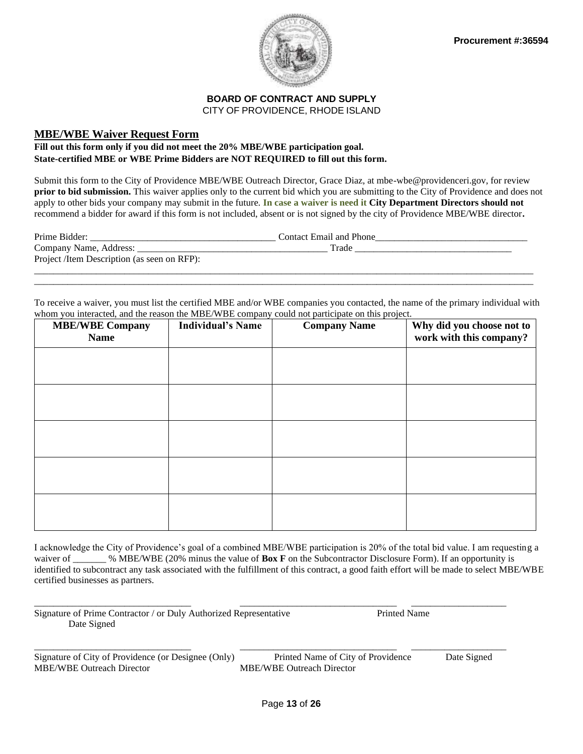

#### **MBE/WBE Waiver Request Form**

#### **Fill out this form only if you did not meet the 20% MBE/WBE participation goal. State-certified MBE or WBE Prime Bidders are NOT REQUIRED to fill out this form.**

Submit this form to the City of Providence MBE/WBE Outreach Director, Grace Diaz, at mbe-wbe@providenceri.gov, for review **prior to bid submission.** This waiver applies only to the current bid which you are submitting to the City of Providence and does not apply to other bids your company may submit in the future. **In case a waiver is need it City Department Directors should not** recommend a bidder for award if this form is not included, absent or is not signed by the city of Providence MBE/WBE director**.**

| Prime Bidder:                               | Contact Email and Phone |
|---------------------------------------------|-------------------------|
| Company Name, Address: _                    | Trade                   |
| Project /Item Description (as seen on RFP): |                         |
|                                             |                         |

\_\_\_\_\_\_\_\_\_\_\_\_\_\_\_\_\_\_\_\_\_\_\_\_\_\_\_\_\_\_\_\_\_\_\_\_\_\_\_\_\_\_\_\_\_\_\_\_\_\_\_\_\_\_\_\_\_\_\_\_\_\_\_\_\_\_\_\_\_\_\_\_\_\_\_\_\_\_\_\_\_\_\_\_\_\_\_\_\_\_\_\_\_\_\_\_\_\_\_\_\_\_\_\_\_

To receive a waiver, you must list the certified MBE and/or WBE companies you contacted, the name of the primary individual with whom you interacted, and the reason the MBE/WBE company could not participate on this project.

| <b>MBE/WBE Company</b><br><b>Name</b> | <b>Individual's Name</b> | <b>Company Name</b> | Why did you choose not to<br>work with this company? |
|---------------------------------------|--------------------------|---------------------|------------------------------------------------------|
|                                       |                          |                     |                                                      |
|                                       |                          |                     |                                                      |
|                                       |                          |                     |                                                      |
|                                       |                          |                     |                                                      |
|                                       |                          |                     |                                                      |
|                                       |                          |                     |                                                      |
|                                       |                          |                     |                                                      |

I acknowledge the City of Providence's goal of a combined MBE/WBE participation is 20% of the total bid value. I am requesting a waiver of \_\_\_\_\_\_ % MBE/WBE (20% minus the value of **Box F** on the Subcontractor Disclosure Form). If an opportunity is identified to subcontract any task associated with the fulfillment of this contract, a good faith effort will be made to select MBE/WBE certified businesses as partners.

| Signature of Prime Contractor / or Duly Authorized Representative | Printed Name |  |
|-------------------------------------------------------------------|--------------|--|
| Date Signed                                                       |              |  |

Signature of City of Providence (or Designee (Only) Printed Name of City of Providence Date Signed MBE/WBE Outreach Director MBE/WBE Outreach Director

\_\_\_\_\_\_\_\_\_\_\_\_\_\_\_\_\_\_\_\_\_\_\_\_\_\_\_\_\_\_\_\_\_ \_\_\_\_\_\_\_\_\_\_\_\_\_\_\_\_\_\_\_\_\_\_\_\_\_\_\_\_\_\_\_\_\_ \_\_\_\_\_\_\_\_\_\_\_\_\_\_\_\_\_\_\_\_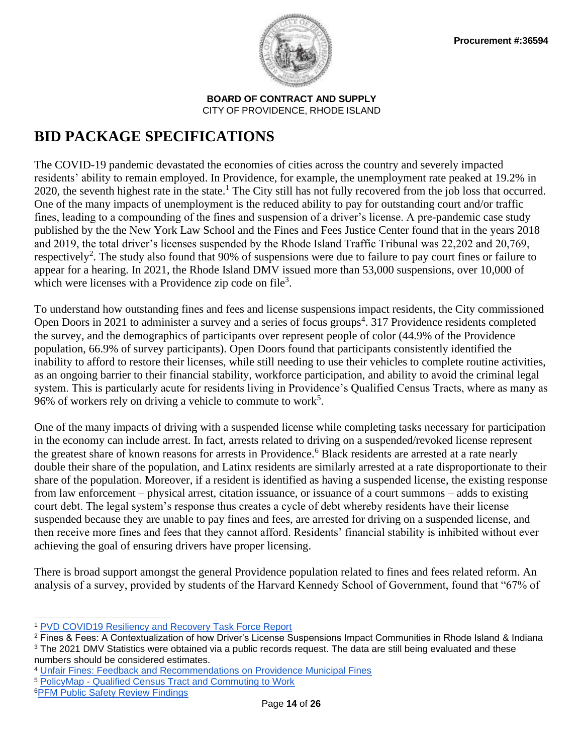

# **BID PACKAGE SPECIFICATIONS**

The COVID-19 pandemic devastated the economies of cities across the country and severely impacted residents' ability to remain employed. In Providence, for example, the unemployment rate peaked at 19.2% in 2020, the seventh highest rate in the state.<sup>1</sup> The City still has not fully recovered from the job loss that occurred. One of the many impacts of unemployment is the reduced ability to pay for outstanding court and/or traffic fines, leading to a compounding of the fines and suspension of a driver's license. A pre-pandemic case study published by the the New York Law School and the Fines and Fees Justice Center found that in the years 2018 and 2019, the total driver's licenses suspended by the Rhode Island Traffic Tribunal was 22,202 and 20,769, respectively<sup>2</sup>. The study also found that 90% of suspensions were due to failure to pay court fines or failure to appear for a hearing. In 2021, the Rhode Island DMV issued more than 53,000 suspensions, over 10,000 of which were licenses with a Providence zip code on file<sup>3</sup>.

To understand how outstanding fines and fees and license suspensions impact residents, the City commissioned Open Doors in 2021 to administer a survey and a series of focus groups<sup>4</sup>. 317 Providence residents completed the survey, and the demographics of participants over represent people of color (44.9% of the Providence population, 66.9% of survey participants). Open Doors found that participants consistently identified the inability to afford to restore their licenses, while still needing to use their vehicles to complete routine activities, as an ongoing barrier to their financial stability, workforce participation, and ability to avoid the criminal legal system. This is particularly acute for residents living in Providence's Qualified Census Tracts, where as many as 96% of workers rely on driving a vehicle to commute to work<sup>5</sup>.

One of the many impacts of driving with a suspended license while completing tasks necessary for participation in the economy can include arrest. In fact, arrests related to driving on a suspended/revoked license represent the greatest share of known reasons for arrests in Providence.<sup>6</sup> Black residents are arrested at a rate nearly double their share of the population, and Latinx residents are similarly arrested at a rate disproportionate to their share of the population. Moreover, if a resident is identified as having a suspended license, the existing response from law enforcement – physical arrest, citation issuance, or issuance of a court summons – adds to existing court debt. The legal system's response thus creates a cycle of debt whereby residents have their license suspended because they are unable to pay fines and fees, are arrested for driving on a suspended license, and then receive more fines and fees that they cannot afford. Residents' financial stability is inhibited without ever achieving the goal of ensuring drivers have proper licensing.

There is broad support amongst the general Providence population related to fines and fees related reform. An analysis of a survey, provided by students of the Harvard Kennedy School of Government, found that "67% of

<sup>1</sup> [PVD COVID19 Resiliency and Recovery Task Force Report](https://pvdrescueplan.com/wp-content/uploads/2021/11/PVDARPA-Report112921-.pdf)

<sup>2</sup> Fines & Fees: A Contextualization of how Driver's License Suspensions Impact Communities in Rhode Island & Indiana <sup>3</sup> The 2021 DMV Statistics were obtained via a public records request. The data are still being evaluated and these numbers should be considered estimates.

<sup>4</sup> [Unfair Fines: Feedback and Recommendations](http://www.opendoorsri.org/) on Providence Municipal Fines

<sup>5</sup> PolicyMap - [Qualified Census Tract and Commuting to Work](https://www.policymap.com/newmaps#/)

<sup>6</sup>[PFM Public Safety Review Findings](https://www.providenceri.gov/community-relations/pfm-public-safety-review-findings/)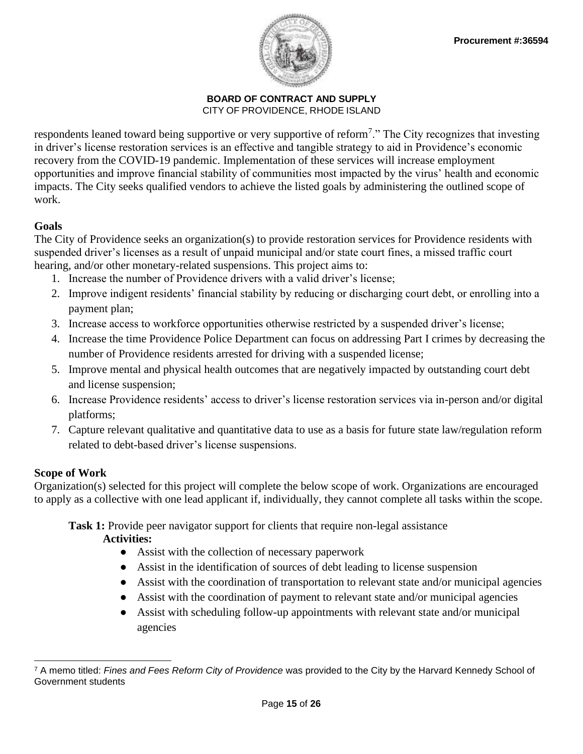

respondents leaned toward being supportive or very supportive of reform<sup>7</sup>." The City recognizes that investing in driver's license restoration services is an effective and tangible strategy to aid in Providence's economic recovery from the COVID-19 pandemic. Implementation of these services will increase employment opportunities and improve financial stability of communities most impacted by the virus' health and economic impacts. The City seeks qualified vendors to achieve the listed goals by administering the outlined scope of work.

## **Goals**

The City of Providence seeks an organization(s) to provide restoration services for Providence residents with suspended driver's licenses as a result of unpaid municipal and/or state court fines, a missed traffic court hearing, and/or other monetary-related suspensions. This project aims to:

- 1. Increase the number of Providence drivers with a valid driver's license;
- 2. Improve indigent residents' financial stability by reducing or discharging court debt, or enrolling into a payment plan;
- 3. Increase access to workforce opportunities otherwise restricted by a suspended driver's license;
- 4. Increase the time Providence Police Department can focus on addressing Part I crimes by decreasing the number of Providence residents arrested for driving with a suspended license;
- 5. Improve mental and physical health outcomes that are negatively impacted by outstanding court debt and license suspension;
- 6. Increase Providence residents' access to driver's license restoration services via in-person and/or digital platforms;
- 7. Capture relevant qualitative and quantitative data to use as a basis for future state law/regulation reform related to debt-based driver's license suspensions.

## **Scope of Work**

Organization(s) selected for this project will complete the below scope of work. Organizations are encouraged to apply as a collective with one lead applicant if, individually, they cannot complete all tasks within the scope.

## **Task 1:** Provide peer navigator support for clients that require non-legal assistance

**Activities:**

- Assist with the collection of necessary paperwork
- Assist in the identification of sources of debt leading to license suspension
- Assist with the coordination of transportation to relevant state and/or municipal agencies
- Assist with the coordination of payment to relevant state and/or municipal agencies
- Assist with scheduling follow-up appointments with relevant state and/or municipal agencies

<sup>7</sup> A memo titled: *Fines and Fees Reform City of Providence* was provided to the City by the Harvard Kennedy School of Government students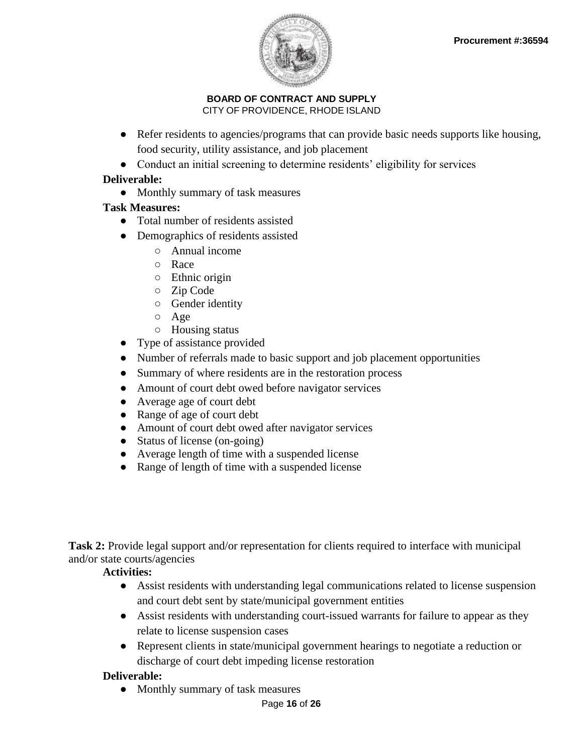

- Refer residents to agencies/programs that can provide basic needs supports like housing, food security, utility assistance, and job placement
- Conduct an initial screening to determine residents' eligibility for services

## **Deliverable:**

• Monthly summary of task measures

## **Task Measures:**

- Total number of residents assisted
- Demographics of residents assisted
	- Annual income
	- Race
	- Ethnic origin
	- Zip Code
	- Gender identity
	- Age
	- Housing status
- Type of assistance provided
- Number of referrals made to basic support and job placement opportunities
- Summary of where residents are in the restoration process
- Amount of court debt owed before navigator services
- Average age of court debt
- Range of age of court debt
- Amount of court debt owed after navigator services
- Status of license (on-going)
- Average length of time with a suspended license
- Range of length of time with a suspended license

**Task 2:** Provide legal support and/or representation for clients required to interface with municipal and/or state courts/agencies

## **Activities:**

- Assist residents with understanding legal communications related to license suspension and court debt sent by state/municipal government entities
- Assist residents with understanding court-issued warrants for failure to appear as they relate to license suspension cases
- Represent clients in state/municipal government hearings to negotiate a reduction or discharge of court debt impeding license restoration

## **Deliverable:**

• Monthly summary of task measures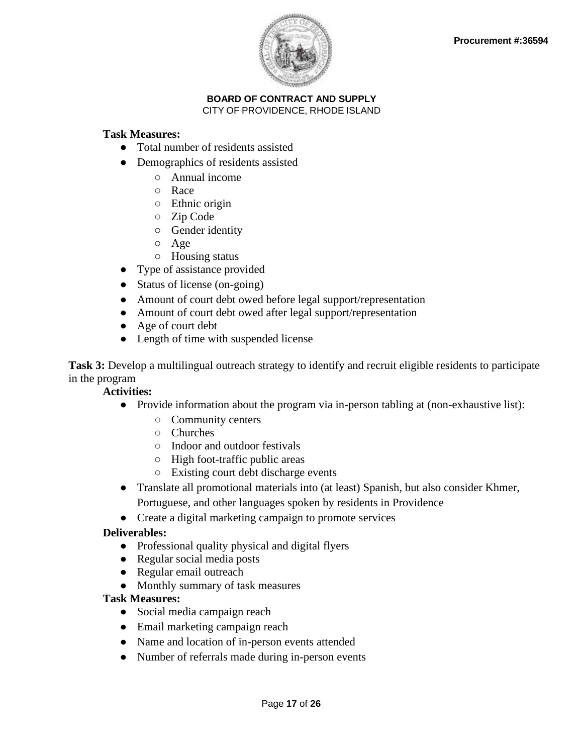

#### **Task Measures:**

- Total number of residents assisted
- Demographics of residents assisted
	- Annual income
	- Race
	- Ethnic origin
	- Zip Code
	- Gender identity
	- Age
	- Housing status
- Type of assistance provided
- Status of license (on-going)
- Amount of court debt owed before legal support/representation
- Amount of court debt owed after legal support/representation
- Age of court debt
- Length of time with suspended license

**Task 3:** Develop a multilingual outreach strategy to identify and recruit eligible residents to participate in the program

#### **Activities:**

- Provide information about the program via in-person tabling at (non-exhaustive list):
	- Community centers
	- Churches
	- Indoor and outdoor festivals
	- High foot-traffic public areas
	- Existing court debt discharge events
- Translate all promotional materials into (at least) Spanish, but also consider Khmer, Portuguese, and other languages spoken by residents in Providence
- Create a digital marketing campaign to promote services

#### **Deliverables:**

- Professional quality physical and digital flyers
- Regular social media posts
- Regular email outreach
- Monthly summary of task measures

#### **Task Measures:**

- Social media campaign reach
- Email marketing campaign reach
- Name and location of in-person events attended
- Number of referrals made during in-person events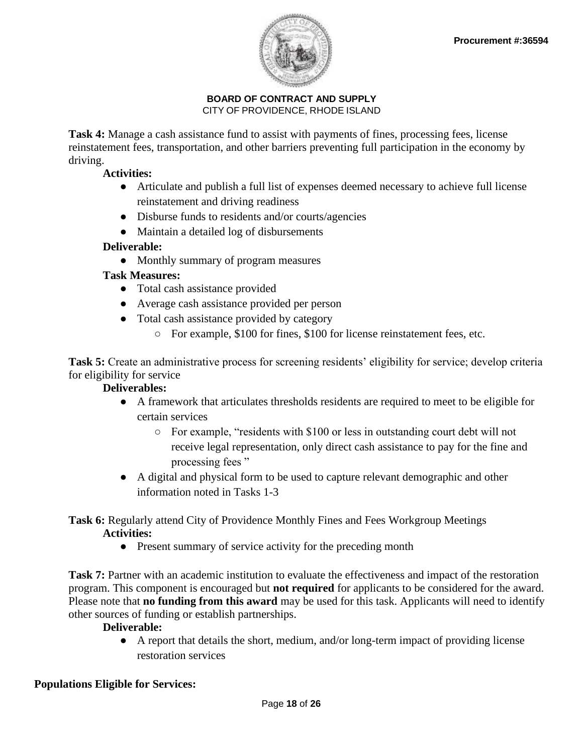

**Task 4:** Manage a cash assistance fund to assist with payments of fines, processing fees, license reinstatement fees, transportation, and other barriers preventing full participation in the economy by driving.

### **Activities:**

- Articulate and publish a full list of expenses deemed necessary to achieve full license reinstatement and driving readiness
- Disburse funds to residents and/or courts/agencies
- Maintain a detailed log of disbursements

## **Deliverable:**

● Monthly summary of program measures

## **Task Measures:**

- Total cash assistance provided
- Average cash assistance provided per person
- Total cash assistance provided by category
	- For example, \$100 for fines, \$100 for license reinstatement fees, etc.

**Task 5:** Create an administrative process for screening residents' eligibility for service; develop criteria for eligibility for service

## **Deliverables:**

- A framework that articulates thresholds residents are required to meet to be eligible for certain services
	- For example, "residents with \$100 or less in outstanding court debt will not receive legal representation, only direct cash assistance to pay for the fine and processing fees "
- A digital and physical form to be used to capture relevant demographic and other information noted in Tasks 1-3

**Task 6:** Regularly attend City of Providence Monthly Fines and Fees Workgroup Meetings **Activities:**

• Present summary of service activity for the preceding month

**Task 7:** Partner with an academic institution to evaluate the effectiveness and impact of the restoration program. This component is encouraged but **not required** for applicants to be considered for the award. Please note that **no funding from this award** may be used for this task. Applicants will need to identify other sources of funding or establish partnerships.

#### **Deliverable:**

● A report that details the short, medium, and/or long-term impact of providing license restoration services

## **Populations Eligible for Services:**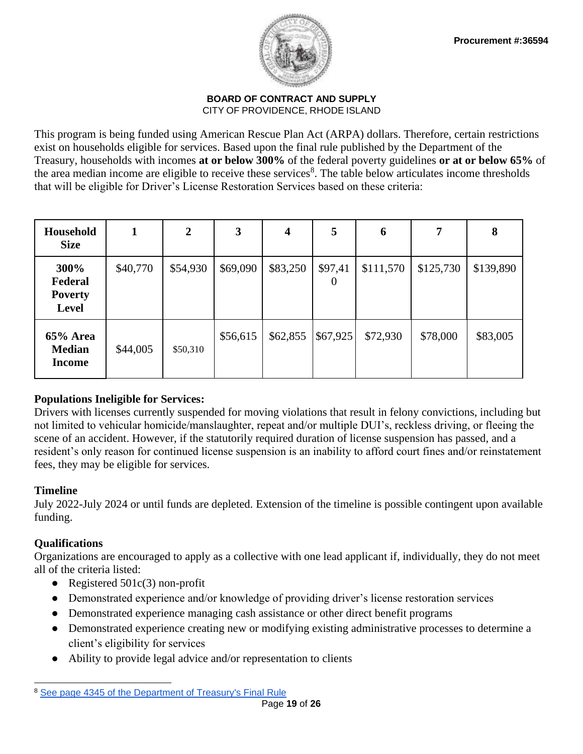

This program is being funded using American Rescue Plan Act (ARPA) dollars. Therefore, certain restrictions exist on households eligible for services. Based upon the final rule published by the Department of the Treasury, households with incomes **at or below 300%** of the federal poverty guidelines **or at or below 65%** of the area median income are eligible to receive these services<sup>8</sup>. The table below articulates income thresholds that will be eligible for Driver's License Restoration Services based on these criteria:

| Household<br><b>Size</b>                          | 1        | $\mathbf{2}$ | 3        | 4        | 5                   | 6         | 7         | 8         |
|---------------------------------------------------|----------|--------------|----------|----------|---------------------|-----------|-----------|-----------|
| 300%<br>Federal<br><b>Poverty</b><br><b>Level</b> | \$40,770 | \$54,930     | \$69,090 | \$83,250 | \$97,41<br>$\theta$ | \$111,570 | \$125,730 | \$139,890 |
| 65% Area<br><b>Median</b><br><b>Income</b>        | \$44,005 | \$50,310     | \$56,615 | \$62,855 | \$67,925            | \$72,930  | \$78,000  | \$83,005  |

## **Populations Ineligible for Services:**

Drivers with licenses currently suspended for moving violations that result in felony convictions, including but not limited to vehicular homicide/manslaughter, repeat and/or multiple DUI's, reckless driving, or fleeing the scene of an accident. However, if the statutorily required duration of license suspension has passed, and a resident's only reason for continued license suspension is an inability to afford court fines and/or reinstatement fees, they may be eligible for services.

#### **Timeline**

July 2022-July 2024 or until funds are depleted. Extension of the timeline is possible contingent upon available funding.

## **Qualifications**

Organizations are encouraged to apply as a collective with one lead applicant if, individually, they do not meet all of the criteria listed:

- Registered  $501c(3)$  non-profit
- Demonstrated experience and/or knowledge of providing driver's license restoration services
- Demonstrated experience managing cash assistance or other direct benefit programs
- Demonstrated experience creating new or modifying existing administrative processes to determine a client's eligibility for services
- Ability to provide legal advice and/or representation to clients

<sup>8</sup> [See page 4345 of the Department of Treasury's Final Rule](https://www.govinfo.gov/content/pkg/FR-2022-01-27/pdf/2022-00292.pdf)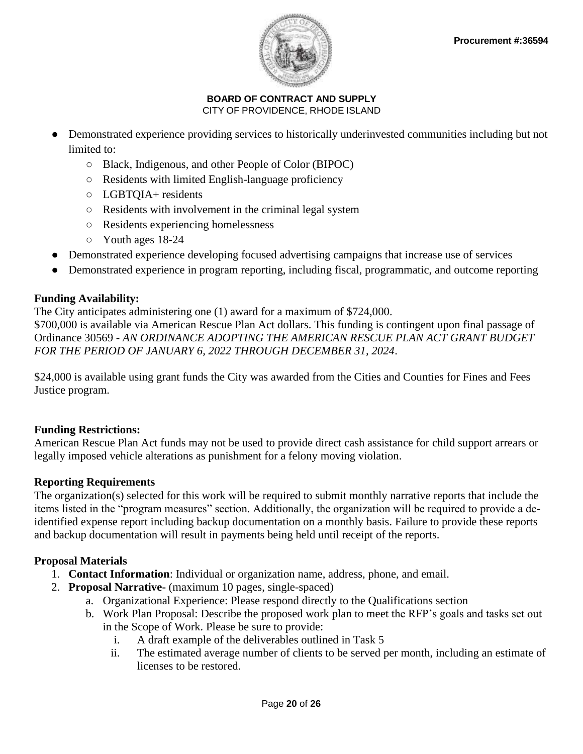

- Demonstrated experience providing services to historically underinvested communities including but not limited to:
	- Black, Indigenous, and other People of Color (BIPOC)
	- Residents with limited English-language proficiency
	- LGBTQIA+ residents
	- Residents with involvement in the criminal legal system
	- Residents experiencing homelessness
	- Youth ages 18-24
- Demonstrated experience developing focused advertising campaigns that increase use of services
- Demonstrated experience in program reporting, including fiscal, programmatic, and outcome reporting

## **Funding Availability:**

The City anticipates administering one (1) award for a maximum of \$724,000. \$700,000 is available via American Rescue Plan Act dollars. This funding is contingent upon final passage of Ordinance 30569 - *AN ORDINANCE ADOPTING THE AMERICAN RESCUE PLAN ACT GRANT BUDGET FOR THE PERIOD OF JANUARY 6, 2022 THROUGH DECEMBER 31, 2024*.

\$24,000 is available using grant funds the City was awarded from the Cities and Counties for Fines and Fees Justice program.

## **Funding Restrictions:**

American Rescue Plan Act funds may not be used to provide direct cash assistance for child support arrears or legally imposed vehicle alterations as punishment for a felony moving violation.

## **Reporting Requirements**

The organization(s) selected for this work will be required to submit monthly narrative reports that include the items listed in the "program measures" section. Additionally, the organization will be required to provide a deidentified expense report including backup documentation on a monthly basis. Failure to provide these reports and backup documentation will result in payments being held until receipt of the reports.

## **Proposal Materials**

- 1. **Contact Information**: Individual or organization name, address, phone, and email.
- 2. **Proposal Narrative-** (maximum 10 pages, single-spaced)
	- a. Organizational Experience: Please respond directly to the Qualifications section
	- b. Work Plan Proposal: Describe the proposed work plan to meet the RFP's goals and tasks set out in the Scope of Work. Please be sure to provide:
		- i. A draft example of the deliverables outlined in Task 5
		- ii. The estimated average number of clients to be served per month, including an estimate of licenses to be restored.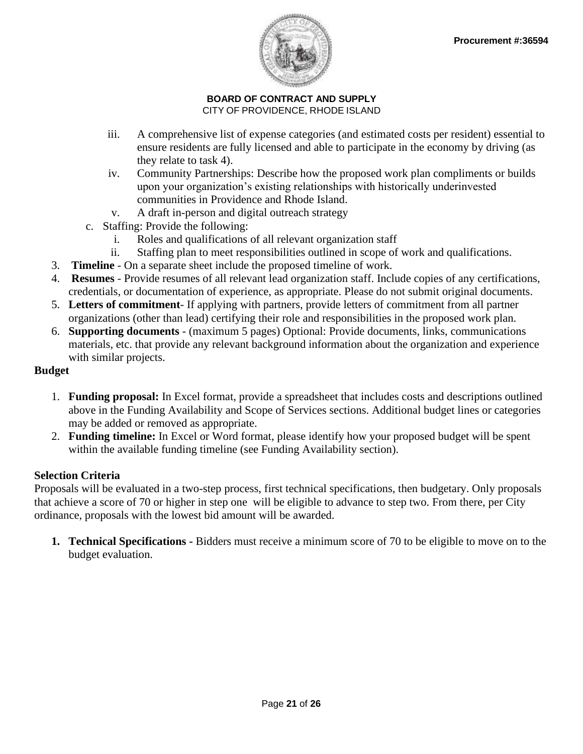

- iii. A comprehensive list of expense categories (and estimated costs per resident) essential to ensure residents are fully licensed and able to participate in the economy by driving (as they relate to task 4).
- iv. Community Partnerships: Describe how the proposed work plan compliments or builds upon your organization's existing relationships with historically underinvested communities in Providence and Rhode Island.
- v. A draft in-person and digital outreach strategy
- c. Staffing: Provide the following:
	- i. Roles and qualifications of all relevant organization staff
	- ii. Staffing plan to meet responsibilities outlined in scope of work and qualifications.
- 3. **Timeline**  On a separate sheet include the proposed timeline of work.
- 4. **Resumes** Provide resumes of all relevant lead organization staff. Include copies of any certifications, credentials, or documentation of experience, as appropriate. Please do not submit original documents.
- 5. **Letters of commitment** If applying with partners, provide letters of commitment from all partner organizations (other than lead) certifying their role and responsibilities in the proposed work plan.
- 6. **Supporting documents**  (maximum 5 pages) Optional: Provide documents, links, communications materials, etc. that provide any relevant background information about the organization and experience with similar projects.

## **Budget**

- 1. **Funding proposal:** In Excel format, provide a spreadsheet that includes costs and descriptions outlined above in the Funding Availability and Scope of Services sections. Additional budget lines or categories may be added or removed as appropriate.
- 2. **Funding timeline:** In Excel or Word format, please identify how your proposed budget will be spent within the available funding timeline (see Funding Availability section).

## **Selection Criteria**

Proposals will be evaluated in a two-step process, first technical specifications, then budgetary. Only proposals that achieve a score of 70 or higher in step one will be eligible to advance to step two. From there, per City ordinance, proposals with the lowest bid amount will be awarded.

**1. Technical Specifications -** Bidders must receive a minimum score of 70 to be eligible to move on to the budget evaluation.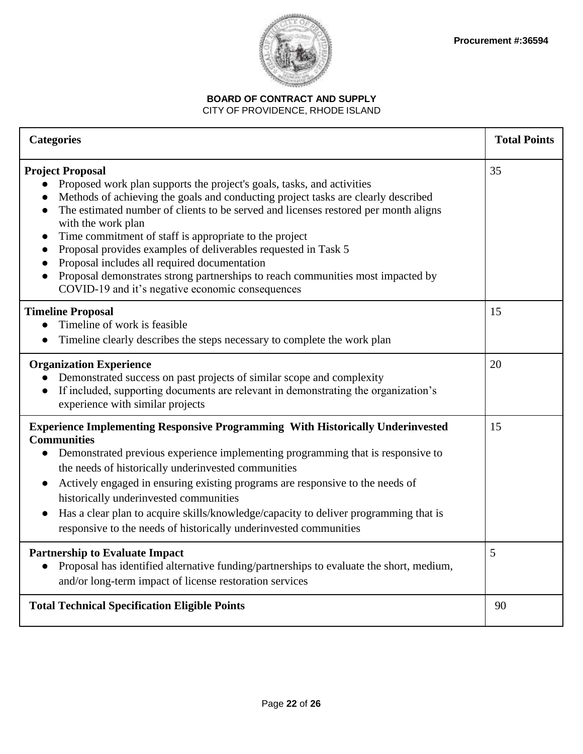

## **BOARD OF CONTRACT AND SUPPLY**

### CITY OF PROVIDENCE, RHODE ISLAND

| <b>Categories</b>                                                                                                                                                                                                                                                                                                                                                                                                                                                                                                                                                                                                      | <b>Total Points</b> |
|------------------------------------------------------------------------------------------------------------------------------------------------------------------------------------------------------------------------------------------------------------------------------------------------------------------------------------------------------------------------------------------------------------------------------------------------------------------------------------------------------------------------------------------------------------------------------------------------------------------------|---------------------|
| <b>Project Proposal</b><br>Proposed work plan supports the project's goals, tasks, and activities<br>Methods of achieving the goals and conducting project tasks are clearly described<br>The estimated number of clients to be served and licenses restored per month aligns<br>with the work plan<br>Time commitment of staff is appropriate to the project<br>Proposal provides examples of deliverables requested in Task 5<br>Proposal includes all required documentation<br>Proposal demonstrates strong partnerships to reach communities most impacted by<br>COVID-19 and it's negative economic consequences | 35                  |
| <b>Timeline Proposal</b><br>Timeline of work is feasible<br>Timeline clearly describes the steps necessary to complete the work plan<br>$\bullet$                                                                                                                                                                                                                                                                                                                                                                                                                                                                      | 15                  |
| <b>Organization Experience</b><br>Demonstrated success on past projects of similar scope and complexity<br>If included, supporting documents are relevant in demonstrating the organization's<br>$\bullet$<br>experience with similar projects                                                                                                                                                                                                                                                                                                                                                                         | 20                  |
| <b>Experience Implementing Responsive Programming With Historically Underinvested</b><br><b>Communities</b><br>Demonstrated previous experience implementing programming that is responsive to<br>$\bullet$<br>the needs of historically underinvested communities<br>Actively engaged in ensuring existing programs are responsive to the needs of<br>historically underinvested communities<br>Has a clear plan to acquire skills/knowledge/capacity to deliver programming that is<br>responsive to the needs of historically underinvested communities                                                             | 15                  |
| <b>Partnership to Evaluate Impact</b><br>Proposal has identified alternative funding/partnerships to evaluate the short, medium,<br>and/or long-term impact of license restoration services                                                                                                                                                                                                                                                                                                                                                                                                                            | 5                   |
| <b>Total Technical Specification Eligible Points</b>                                                                                                                                                                                                                                                                                                                                                                                                                                                                                                                                                                   | 90                  |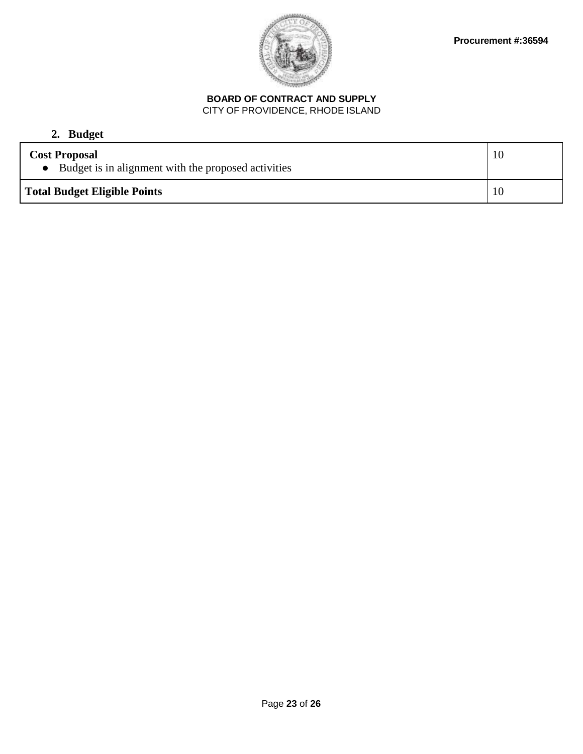

# **2. Budget**

| <b>Cost Proposal</b><br>• Budget is in alignment with the proposed activities | 10  |
|-------------------------------------------------------------------------------|-----|
| <b>Total Budget Eligible Points</b>                                           | -10 |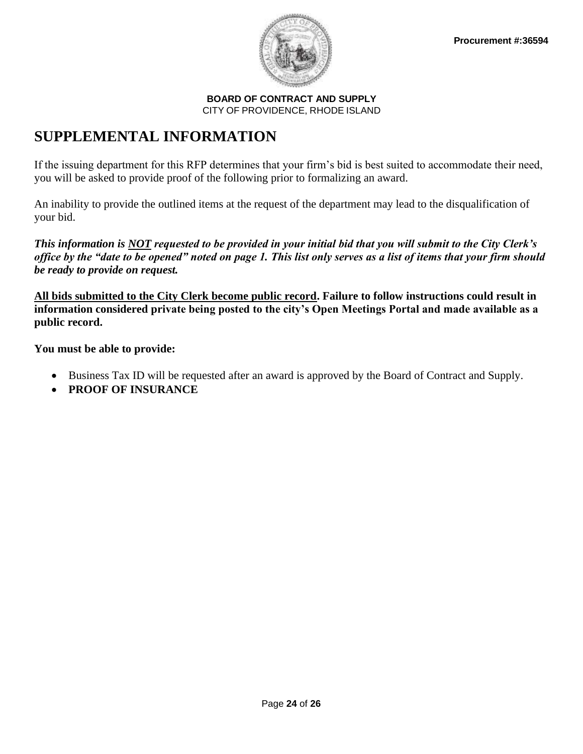

# **SUPPLEMENTAL INFORMATION**

If the issuing department for this RFP determines that your firm's bid is best suited to accommodate their need, you will be asked to provide proof of the following prior to formalizing an award.

An inability to provide the outlined items at the request of the department may lead to the disqualification of your bid.

*This information is NOT requested to be provided in your initial bid that you will submit to the City Clerk's office by the "date to be opened" noted on page 1. This list only serves as a list of items that your firm should be ready to provide on request.*

**All bids submitted to the City Clerk become public record. Failure to follow instructions could result in information considered private being posted to the city's Open Meetings Portal and made available as a public record.** 

**You must be able to provide:**

- Business Tax ID will be requested after an award is approved by the Board of Contract and Supply.
- **PROOF OF INSURANCE**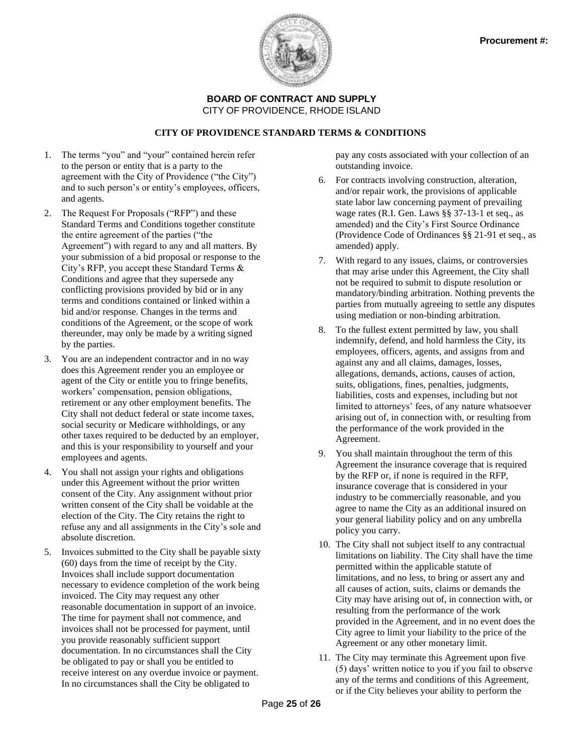

#### **CITY OF PROVIDENCE STANDARD TERMS & CONDITIONS**

- 1. The terms "you" and "your" contained herein refer to the person or entity that is a party to the agreement with the City of Providence ("the City") and to such person's or entity's employees, officers, and agents.
- 2. The Request For Proposals ("RFP") and these Standard Terms and Conditions together constitute the entire agreement of the parties ("the Agreement") with regard to any and all matters. By your submission of a bid proposal or response to the City's RFP, you accept these Standard Terms & Conditions and agree that they supersede any conflicting provisions provided by bid or in any terms and conditions contained or linked within a bid and/or response. Changes in the terms and conditions of the Agreement, or the scope of work thereunder, may only be made by a writing signed by the parties.
- 3. You are an independent contractor and in no way does this Agreement render you an employee or agent of the City or entitle you to fringe benefits, workers' compensation, pension obligations, retirement or any other employment benefits. The City shall not deduct federal or state income taxes, social security or Medicare withholdings, or any other taxes required to be deducted by an employer, and this is your responsibility to yourself and your employees and agents.
- 4. You shall not assign your rights and obligations under this Agreement without the prior written consent of the City. Any assignment without prior written consent of the City shall be voidable at the election of the City. The City retains the right to refuse any and all assignments in the City's sole and absolute discretion.
- 5. Invoices submitted to the City shall be payable sixty (60) days from the time of receipt by the City. Invoices shall include support documentation necessary to evidence completion of the work being invoiced. The City may request any other reasonable documentation in support of an invoice. The time for payment shall not commence, and invoices shall not be processed for payment, until you provide reasonably sufficient support documentation. In no circumstances shall the City be obligated to pay or shall you be entitled to receive interest on any overdue invoice or payment. In no circumstances shall the City be obligated to

pay any costs associated with your collection of an outstanding invoice.

- 6. For contracts involving construction, alteration, and/or repair work, the provisions of applicable state labor law concerning payment of prevailing wage rates (R.I. Gen. Laws §§ 37-13-1 et seq., as amended) and the City's First Source Ordinance (Providence Code of Ordinances §§ 21-91 et seq., as amended) apply.
- 7. With regard to any issues, claims, or controversies that may arise under this Agreement, the City shall not be required to submit to dispute resolution or mandatory/binding arbitration. Nothing prevents the parties from mutually agreeing to settle any disputes using mediation or non-binding arbitration.
- 8. To the fullest extent permitted by law, you shall indemnify, defend, and hold harmless the City, its employees, officers, agents, and assigns from and against any and all claims, damages, losses, allegations, demands, actions, causes of action, suits, obligations, fines, penalties, judgments, liabilities, costs and expenses, including but not limited to attorneys' fees, of any nature whatsoever arising out of, in connection with, or resulting from the performance of the work provided in the Agreement.
- 9. You shall maintain throughout the term of this Agreement the insurance coverage that is required by the RFP or, if none is required in the RFP, insurance coverage that is considered in your industry to be commercially reasonable, and you agree to name the City as an additional insured on your general liability policy and on any umbrella policy you carry.
- 10. The City shall not subject itself to any contractual limitations on liability. The City shall have the time permitted within the applicable statute of limitations, and no less, to bring or assert any and all causes of action, suits, claims or demands the City may have arising out of, in connection with, or resulting from the performance of the work provided in the Agreement, and in no event does the City agree to limit your liability to the price of the Agreement or any other monetary limit.
- 11. The City may terminate this Agreement upon five (5) days' written notice to you if you fail to observe any of the terms and conditions of this Agreement, or if the City believes your ability to perform the